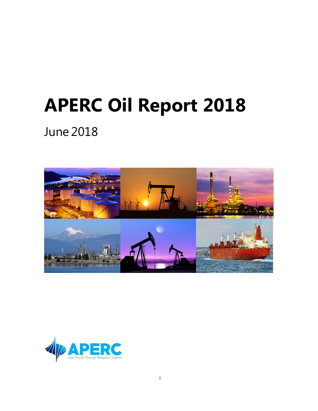# **APERC Oil Report 2018**

June 2018



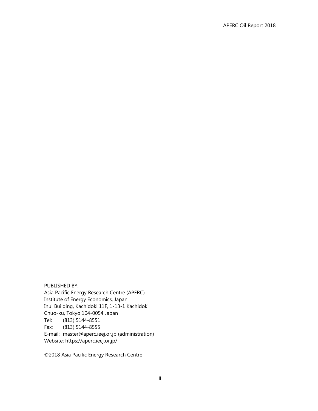PUBLISHED BY: Asia Pacific Energy Research Centre (APERC) Institute of Energy Economics, Japan Inui Building, Kachidoki 11F, 1-13-1 Kachidoki Chuo-ku, Tokyo 104-0054 Japan Tel: (813) 5144-8551 Fax: (813) 5144-8555 E-mail: master@aperc.ieej.or.jp (administration) Website: https://aperc.ieej.or.jp/

©2018 Asia Pacific Energy Research Centre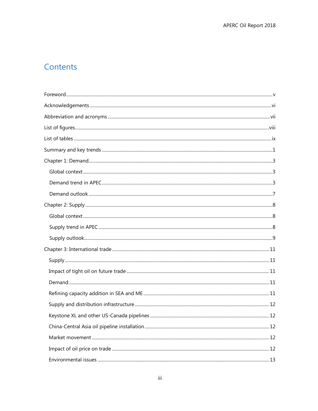# Contents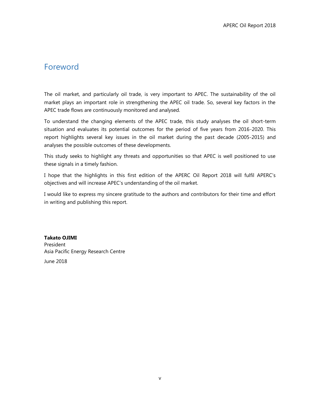# <span id="page-4-0"></span>Foreword

The oil market, and particularly oil trade, is very important to APEC. The sustainability of the oil market plays an important role in strengthening the APEC oil trade. So, several key factors in the APEC trade flows are continuously monitored and analysed.

To understand the changing elements of the APEC trade, this study analyses the oil short-term situation and evaluates its potential outcomes for the period of five years from 2016-2020. This report highlights several key issues in the oil market during the past decade (2005-2015) and analyses the possible outcomes of these developments.

This study seeks to highlight any threats and opportunities so that APEC is well positioned to use these signals in a timely fashion.

I hope that the highlights in this first edition of the APERC Oil Report 2018 will fulfil APERC's objectives and will increase APEC's understanding of the oil market.

I would like to express my sincere gratitude to the authors and contributors for their time and effort in writing and publishing this report.

**Takato OJIMI**  President Asia Pacific Energy Research Centre June 2018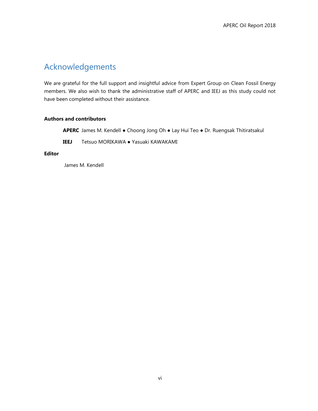# <span id="page-5-0"></span>Acknowledgements

We are grateful for the full support and insightful advice from Expert Group on Clean Fossil Energy members. We also wish to thank the administrative staff of APERC and IEEJ as this study could not have been completed without their assistance.

#### **Authors and contributors**

**APERC** James M. Kendell ● Choong Jong Oh ● Lay Hui Teo ● Dr. Ruengsak Thitiratsakul

**IEEJ** Tetsuo MORIKAWA ● Yasuaki KAWAKAMI

#### **Editor**

James M. Kendell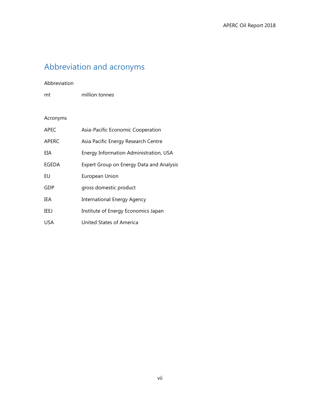# <span id="page-6-0"></span>Abbreviation and acronyms

#### Abbreviation

mt million tonnes

# Acronyms

| <b>APEC</b>  | Asia-Pacific Economic Cooperation        |
|--------------|------------------------------------------|
| <b>APERC</b> | Asia Pacific Energy Research Centre      |
| EIA          | Energy Information Administration, USA   |
| EGEDA        | Expert Group on Energy Data and Analysis |
| EU           | European Union                           |
| GDP          | gross domestic product                   |
| IEA          | <b>International Energy Agency</b>       |
| IEEJ         | Institute of Energy Economics Japan      |
| <b>USA</b>   | United States of America                 |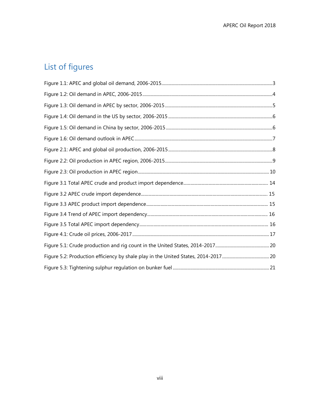# <span id="page-7-0"></span>List of figures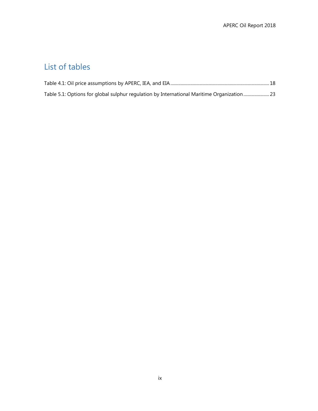# <span id="page-8-0"></span>List of tables

| Table 5.1: Options for global sulphur regulation by International Maritime Organization23 |  |
|-------------------------------------------------------------------------------------------|--|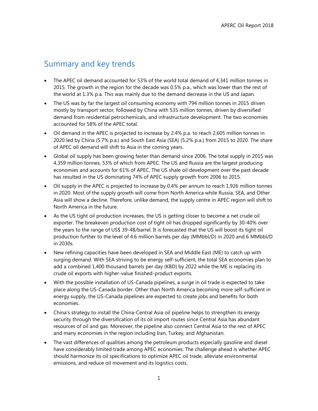# <span id="page-9-0"></span>Summary and key trends

- The APEC oil demand accounted for 53% of the world total demand of 4,341 million tonnes in 2015. The growth in the region for the decade was 0.5% p.a., which was lower than the rest of the world at 1.3% p.a. This was mainly due to the demand decrease in the US and Japan.
- The US was by far the largest oil consuming economy with 794 million tonnes in 2015 driven mostly by transport sector, followed by China with 535 million tonnes, driven by diversified demand from residential petrochemicals, and infrastructure development. The two economies accounted for 58% of the APEC total.
- Oil demand in the APEC is projected to increase by 2.4% p.a. to reach 2,605 million tonnes in 2020 led by China (5.7% p.a.) and South East Asia (SEA) (5.2% p.a.) from 2015 to 2020. The share of APEC oil demand will shift to Asia in the coming years.
- Global oil supply has been growing faster than demand since 2006. The total supply in 2015 was 4,359 million tonnes, 53% of which from APEC. The US and Russia are the largest producing economies and accounts for 61% of APEC. The US shale oil development over the past decade has resulted in the US dominating 74% of APEC supply growth from 2006 to 2015.
- Oil supply in the APEC is projected to increase by 0.4% per annum to reach 1,926 million tonnes in 2020. Most of the supply growth will come from North America while Russia, SEA, and Other Asia will show a decline. Therefore, unlike demand, the supply centre in APEC region will shift to North America in the future.
- As the US tight oil production increases, the US is getting closer to become a net crude oil exporter. The breakeven production cost of tight oil has dropped significantly by 30-40% over the years to the range of US\$ 39-48/barrel. It is forecasted that the US will boost its tight oil production further to the level of 4.6 million barrels per day (MMbbl/D) in 2020 and 6 MMbbl/D in 2030s.
- New refining capacities have been developed in SEA and Middle East (ME) to catch up with surging demand. With SEA striving to be energy self-sufficient, the total SEA economies plan to add a combined 1,400 thousand barrels per day (KBD) by 2022 while the ME is replacing its crude oil exports with higher-value finished-product exports.
- With the possible installation of US-Canada pipelines, a surge in oil trade is expected to take place along the US-Canada border. Other than North America becoming more self-sufficient in energy supply, the US-Canada pipelines are expected to create jobs and benefits for both economies.
- China's strategy to install the China-Central Asia oil pipeline helps to strengthen its energy security through the diversification of its oil import routes since Central Asia has abundant resources of oil and gas. Moreover, the pipeline also connect Central Asia to the rest of APEC and many economies in the region including Iran, Turkey, and Afghanistan.
- The vast differences of qualities among the petroleum products especially gasoline and diesel have considerably limited trade among APEC economies. The challenge ahead is whether APEC should harmonize its oil specifications to optimize APEC oil trade, alleviate environmental emissions, and reduce oil movement and its logistics costs.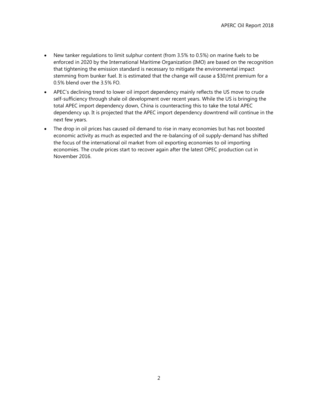- New tanker regulations to limit sulphur content (from 3.5% to 0.5%) on marine fuels to be enforced in 2020 by the International Maritime Organization (IMO) are based on the recognition that tightening the emission standard is necessary to mitigate the environmental impact stemming from bunker fuel. It is estimated that the change will cause a \$30/mt premium for a 0.5% blend over the 3.5% FO.
- APEC's declining trend to lower oil import dependency mainly reflects the US move to crude self-sufficiency through shale oil development over recent years. While the US is bringing the total APEC import dependency down, China is counteracting this to take the total APEC dependency up. It is projected that the APEC import dependency downtrend will continue in the next few years.
- The drop in oil prices has caused oil demand to rise in many economies but has not boosted economic activity as much as expected and the re-balancing of oil supply-demand has shifted the focus of the international oil market from oil exporting economies to oil importing economies. The crude prices start to recover again after the latest OPEC production cut in November 2016.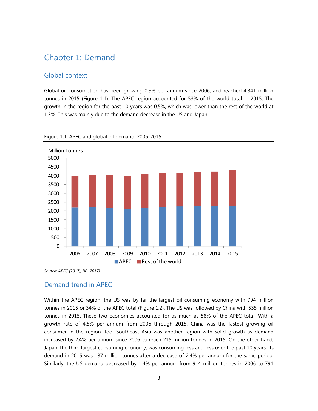# <span id="page-11-0"></span>Chapter 1: Demand

#### <span id="page-11-1"></span>Global context

Global oil consumption has been growing 0.9% per annum since 2006, and reached 4,341 million tonnes in 2015 (Figure 1.1). The APEC region accounted for 53% of the world total in 2015. The growth in the region for the past 10 years was 0.5%, which was lower than the rest of the world at 1.3%. This was mainly due to the demand decrease in the US and Japan.



#### <span id="page-11-3"></span>Figure 1.1: APEC and global oil demand, 2006-2015

<span id="page-11-2"></span>*Source: APEC (2017), BP (2017)*

#### Demand trend in APEC

Within the APEC region, the US was by far the largest oil consuming economy with 794 million tonnes in 2015 or 34% of the APEC total (Figure 1.2). The US was followed by China with 535 million tonnes in 2015. These two economies accounted for as much as 58% of the APEC total. With a growth rate of 4.5% per annum from 2006 through 2015, China was the fastest growing oil consumer in the region, too. Southeast Asia was another region with solid growth as demand increased by 2.4% per annum since 2006 to reach 215 million tonnes in 2015. On the other hand, Japan, the third largest consuming economy, was consuming less and less over the past 10 years. Its demand in 2015 was 187 million tonnes after a decrease of 2.4% per annum for the same period. Similarly, the US demand decreased by 1.4% per annum from 914 million tonnes in 2006 to 794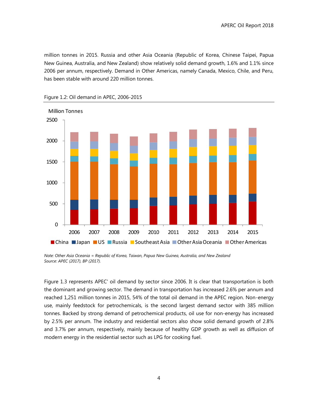million tonnes in 2015. Russia and other Asia Oceania (Republic of Korea, Chinese Taipei, Papua New Guinea, Australia, and New Zealand) show relatively solid demand growth, 1.6% and 1.1% since 2006 per annum, respectively. Demand in Other Americas, namely Canada, Mexico, Chile, and Peru, has been stable with around 220 million tonnes.



<span id="page-12-0"></span>Figure 1.2: Oil demand in APEC, 2006-2015

*Note: Other Asia Oceania = Republic of Korea, Taiwan, Papua New Guinea, Australia, and New Zealand Source: APEC (2017), BP (2017).*

Figure 1.3 represents APEC' oil demand by sector since 2006. It is clear that transportation is both the dominant and growing sector. The demand in transportation has increased 2.6% per annum and reached 1,251 million tonnes in 2015, 54% of the total oil demand in the APEC region. Non-energy use, mainly feedstock for petrochemicals, is the second largest demand sector with 385 million tonnes. Backed by strong demand of petrochemical products, oil use for non-energy has increased by 2.5% per annum. The industry and residential sectors also show solid demand growth of 2.8% and 3.7% per annum, respectively, mainly because of healthy GDP growth as well as diffusion of modern energy in the residential sector such as LPG for cooking fuel.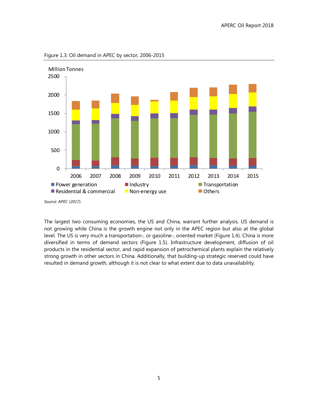

<span id="page-13-0"></span>Figure 1.3: Oil demand in APEC by sector, 2006-2015

The largest two consuming economies, the US and China, warrant further analysis. US demand is not growing while China is the growth engine not only in the APEC region but also at the global level. The US is very much a transportation-, or gasoline-, oriented market (Figure 1.4). China is more diversified in terms of demand sectors (Figure 1.5). Infrastructure development, diffusion of oil products in the residential sector, and rapid expansion of petrochemical plants explain the relatively strong growth in other sectors in China. Additionally, that building-up strategic reserved could have resulted in demand growth, although it is not clear to what extent due to data unavailability.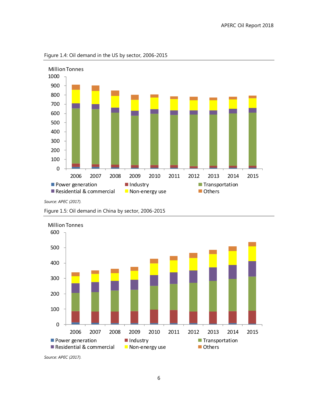

<span id="page-14-0"></span>Figure 1.4: Oil demand in the US by sector, 2006-2015

*Source: APEC (2017).*

<span id="page-14-1"></span>





*Source: APEC (2017).*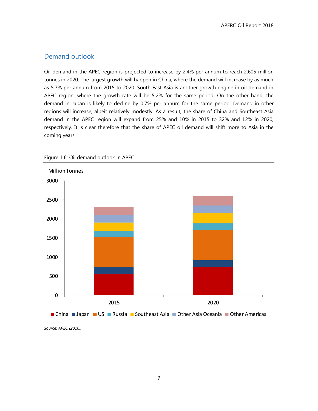#### <span id="page-15-0"></span>Demand outlook

Oil demand in the APEC region is projected to increase by 2.4% per annum to reach 2,605 million tonnes in 2020. The largest growth will happen in China, where the demand will increase by as much as 5.7% per annum from 2015 to 2020. South East Asia is another growth engine in oil demand in APEC region, where the growth rate will be 5.2% for the same period. On the other hand, the demand in Japan is likely to decline by 0.7% per annum for the same period. Demand in other regions will increase, albeit relatively modestly. As a result, the share of China and Southeast Asia demand in the APEC region will expand from 25% and 10% in 2015 to 32% and 12% in 2020, respectively. It is clear therefore that the share of APEC oil demand will shift more to Asia in the coming years.



<span id="page-15-1"></span>Figure 1.6: Oil demand outlook in APEC

*Source: APEC (2016).*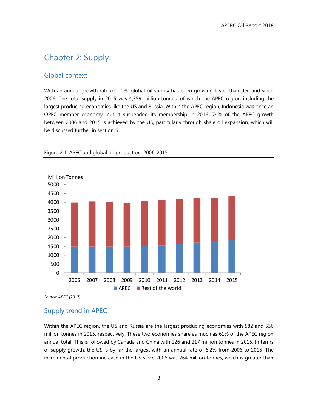# <span id="page-16-0"></span>Chapter 2: Supply

#### <span id="page-16-1"></span>Global context

With an annual growth rate of 1.0%, global oil supply has been growing faster than demand since 2006. The total supply in 2015 was 4,359 million tonnes, of which the APEC region including the largest producing economies like the US and Russia. Within the APEC region, Indonesia was once an OPEC member economy, but it suspended its membership in 2016. 74% of the APEC growth between 2006 and 2015 is achieved by the US, particularly through shale oil expansion, which will be discussed further in section 5.



<span id="page-16-3"></span>Figure 2.1: APEC and global oil production, 2006-2015

<span id="page-16-2"></span>*Source: APEC (2017).*

# Supply trend in APEC

Within the APEC region, the US and Russia are the largest producing economies with 582 and 536 million tonnes in 2015, respectively. These two economies share as much as 61% of the APEC region annual total. This is followed by Canada and China with 226 and 217 million tonnes in 2015. In terms of supply growth, the US is by far the largest with an annual rate of 6.2% from 2006 to 2015. The incremental production increase in the US since 2006 was 264 million tonnes, which is greater than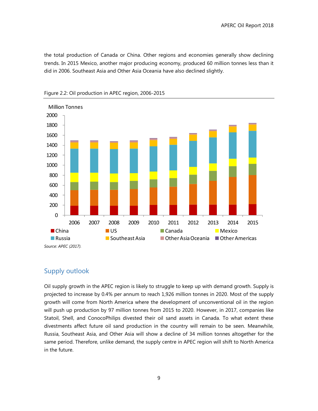the total production of Canada or China. Other regions and economies generally show declining trends. In 2015 Mexico, another major producing economy, produced 60 million tonnes less than it did in 2006. Southeast Asia and Other Asia Oceania have also declined slightly.



<span id="page-17-1"></span>Figure 2.2: Oil production in APEC region, 2006-2015

## <span id="page-17-0"></span>Supply outlook

Oil supply growth in the APEC region is likely to struggle to keep up with demand growth. Supply is projected to increase by 0.4% per annum to reach 1,926 million tonnes in 2020. Most of the supply growth will come from North America where the development of unconventional oil in the region will push up production by 97 million tonnes from 2015 to 2020. However, in 2017, companies like Statoil, Shell, and ConocoPhilips divested their oil sand assets in Canada. To what extent these divestments affect future oil sand production in the country will remain to be seen. Meanwhile, Russia, Southeast Asia, and Other Asia will show a decline of 34 million tonnes altogether for the same period. Therefore, unlike demand, the supply centre in APEC region will shift to North America in the future.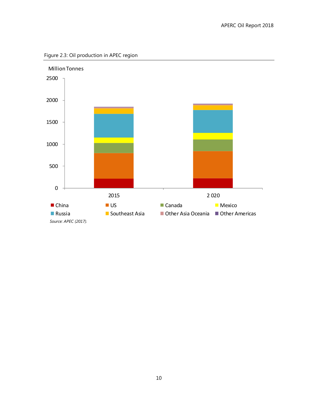<span id="page-18-0"></span>

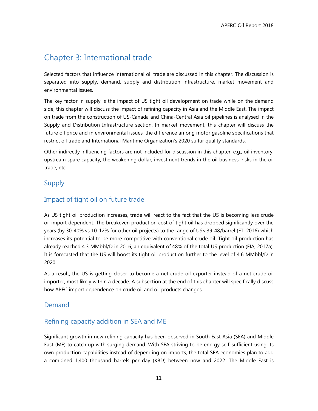# <span id="page-19-0"></span>Chapter 3: International trade

Selected factors that influence international oil trade are discussed in this chapter. The discussion is separated into supply, demand, supply and distribution infrastructure, market movement and environmental issues.

The key factor in supply is the impact of US tight oil development on trade while on the demand side, this chapter will discuss the impact of refining capacity in Asia and the Middle East. The impact on trade from the construction of US-Canada and China-Central Asia oil pipelines is analysed in the Supply and Distribution Infrastructure section. In market movement, this chapter will discuss the future oil price and in environmental issues, the difference among motor gasoline specifications that restrict oil trade and International Maritime Organization's 2020 sulfur quality standards.

Other indirectly influencing factors are not included for discussion in this chapter, e.g., oil inventory, upstream spare capacity, the weakening dollar, investment trends in the oil business, risks in the oil trade, etc.

# <span id="page-19-1"></span>Supply

# <span id="page-19-2"></span>Impact of tight oil on future trade

As US tight oil production increases, trade will react to the fact that the US is becoming less crude oil import dependent. The breakeven production cost of tight oil has dropped significantly over the years (by 30-40% vs 10-12% for other oil projects) to the range of US\$ 39-48/barrel (FT, 2016) which increases its potential to be more competitive with conventional crude oil. Tight oil production has already reached 4.3 MMbbl/D in 2016, an equivalent of 48% of the total US production (EIA, 2017a). It is forecasted that the US will boost its tight oil production further to the level of 4.6 MMbbl/D in 2020.

As a result, the US is getting closer to become a net crude oil exporter instead of a net crude oil importer, most likely within a decade. A subsection at the end of this chapter will specifically discuss how APEC import dependence on crude oil and oil products changes.

## <span id="page-19-3"></span>Demand

## <span id="page-19-4"></span>Refining capacity addition in SEA and ME

Significant growth in new refining capacity has been observed in South East Asia (SEA) and Middle East (ME) to catch up with surging demand. With SEA striving to be energy self-sufficient using its own production capabilities instead of depending on imports, the total SEA economies plan to add a combined 1,400 thousand barrels per day (KBD) between now and 2022. The Middle East is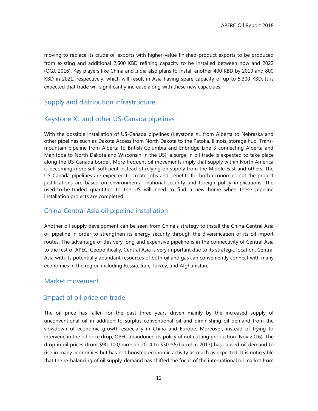moving to replace its crude oil exports with higher-value finished-product exports to be produced from existing and additional 2,600 KBD refining capacity to be installed between now and 2022 (OGJ, 2016). Key players like China and India also plans to install another 400 KBD by 2019 and 800 KBD in 2021, respectively, which will result in Asia having spare capacity of up to 5,300 KBD. It is expected that trade will significantly increase along with these new capacities.

#### <span id="page-20-0"></span>Supply and distribution infrastructure

#### <span id="page-20-1"></span>Keystone XL and other US-Canada pipelines

With the possible installation of US-Canada pipelines (Keystone XL from Alberta to Nebraska and other pipelines such as Dakota Access from North Dakota to the Patoka, Illinois, storage hub, Transmountain pipeline from Alberta to British Columbia and Enbridge Line 3 connecting Alberta and Manitoba to North Dakota and Wisconsin in the US), a surge in oil trade is expected to take place along the US-Canada border. More frequent oil movements imply that supply within North America is becoming more self-sufficient instead of relying on supply from the Middle East and others. The US-Canada pipelines are expected to create jobs and benefits for both economies but the project justifications are based on environmental, national security and foreign policy implications. The used-to-be-traded quantities to the US will need to find a new home when these pipeline installation projects are completed.

#### <span id="page-20-2"></span>China-Central Asia oil pipeline installation

Another oil supply development can be seen from China's strategy to install the China-Central Asia oil pipeline in order to strengthen its energy security through the diversification of its oil import routes. The advantage of this very long and expensive pipeline is in the connectivity of Central Asia to the rest of APEC. Geopolitically, Central Asia is very important due to its strategic location. Central Asia with its potentially abundant resources of both oil and gas can conveniently connect with many economies in the region including Russia, Iran, Turkey, and Afghanistan.

#### <span id="page-20-3"></span>Market movement

#### <span id="page-20-4"></span>Impact of oil price on trade

The oil price has fallen for the past three years driven mainly by the increased supply of unconventional oil in addition to surplus conventional oil and diminishing oil demand from the slowdown of economic growth especially in China and Europe. Moreover, instead of trying to intervene in the oil price drop, OPEC abandoned its policy of not cutting production (Nov 2016). The drop in oil prices (from \$90-100/barrel in 2014 to \$50-55/barrel in 2017) has caused oil demand to rise in many economies but has not boosted economic activity as much as expected. It is noticeable that the re-balancing of oil supply-demand has shifted the focus of the international oil market from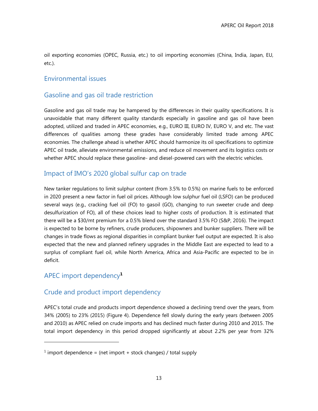oil exporting economies (OPEC, Russia, etc.) to oil importing economies (China, India, Japan, EU, etc.).

#### <span id="page-21-0"></span>Environmental issues

#### <span id="page-21-1"></span>Gasoline and gas oil trade restriction

Gasoline and gas oil trade may be hampered by the differences in their quality specifications. It is unavoidable that many different quality standards especially in gasoline and gas oil have been adopted, utilized and traded in APEC economies, e.g., EURO III, EURO IV, EURO V, and etc. The vast differences of qualities among these grades have considerably limited trade among APEC economies. The challenge ahead is whether APEC should harmonize its oil specifications to optimize APEC oil trade, alleviate environmental emissions, and reduce oil movement and its logistics costs or whether APEC should replace these gasoline- and diesel-powered cars with the electric vehicles.

### <span id="page-21-2"></span>Impact of IMO's 2020 global sulfur cap on trade

New tanker regulations to limit sulphur content (from 3.5% to 0.5%) on marine fuels to be enforced in 2020 present a new factor in fuel oil prices. Although low sulphur fuel oil (LSFO) can be produced several ways (e.g., cracking fuel oil (FO) to gasoil (GO), changing to run sweeter crude and deep desulfurization of FO), all of these choices lead to higher costs of production. It is estimated that there will be a \$30/mt premium for a 0.5% blend over the standard 3.5% FO (S&P, 2016). The impact is expected to be borne by refiners, crude producers, shipowners and bunker suppliers. There will be changes in trade flows as regional disparities in compliant bunker fuel output are expected. It is also expected that the new and planned refinery upgrades in the Middle East are expected to lead to a surplus of compliant fuel oil, while North America, Africa and Asia-Pacific are expected to be in deficit.

## <span id="page-21-3"></span>APEC import dependency**<sup>1</sup>**

 $\overline{a}$ 

## <span id="page-21-4"></span>Crude and product import dependency

APEC's total crude and products import dependence showed a declining trend over the years, from 34% (2005) to 23% (2015) (Figure 4). Dependence fell slowly during the early years (between 2005 and 2010) as APEC relied on crude imports and has declined much faster during 2010 and 2015. The total import dependency in this period dropped significantly at about 2.2% per year from 32%

<sup>&</sup>lt;sup>1</sup> import dependence = (net import + stock changes) / total supply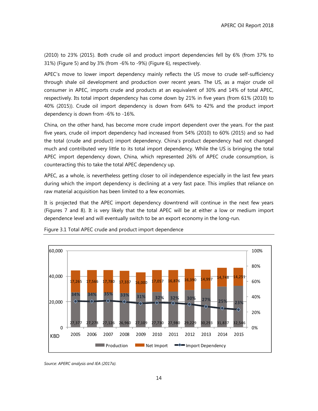(2010) to 23% (2015). Both crude oil and product import dependencies fell by 6% (from 37% to 31%) (Figure 5) and by 3% (from -6% to -9%) (Figure 6), respectively.

APEC's move to lower import dependency mainly reflects the US move to crude self-sufficiency through shale oil development and production over recent years. The US, as a major crude oil consumer in APEC, imports crude and products at an equivalent of 30% and 14% of total APEC, respectively. Its total import dependency has come down by 21% in five years (from 61% (2010) to 40% (2015)). Crude oil import dependency is down from 64% to 42% and the product import dependency is down from -6% to -16%.

China, on the other hand, has become more crude import dependent over the years. For the past five years, crude oil import dependency had increased from 54% (2010) to 60% (2015) and so had the total (crude and product) import dependency. China's product dependency had not changed much and contributed very little to its total import dependency. While the US is bringing the total APEC import dependency down, China, which represented 26% of APEC crude consumption, is counteracting this to take the total APEC dependency up.

APEC, as a whole, is nevertheless getting closer to oil independence especially in the last few years during which the import dependency is declining at a very fast pace. This implies that reliance on raw material acquisition has been limited to a few economies.

It is projected that the APEC import dependency downtrend will continue in the next few years (Figures 7 and 8). It is very likely that the total APEC will be at either a low or medium import dependence level and will eventually switch to be an export economy in the long-run.



Figure 3.1 Total APEC crude and product import dependence

*Source: APERC analysis and IEA (2017a).*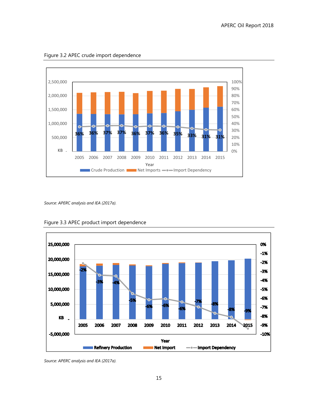

Figure 3.2 APEC crude import dependence

*Source: APERC analysis and IEA (2017a).*



Figure 3.3 APEC product import dependence

*Source: APERC analysis and IEA (2017a).*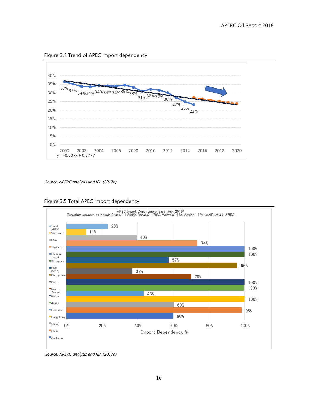Figure 3.4 Trend of APEC import dependency



*Source: APERC analysis and IEA (2017a).*





*Source: APERC analysis and IEA (2017a).*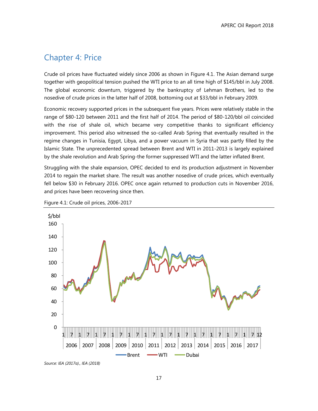# <span id="page-25-0"></span>Chapter 4: Price

Crude oil prices have fluctuated widely since 2006 as shown in Figure 4.1. The Asian demand surge together with geopolitical tension pushed the WTI price to an all time high of \$145/bbl in July 2008. The global economic downturn, triggered by the bankruptcy of Lehman Brothers, led to the nosedive of crude prices in the latter half of 2008, bottoming out at \$33/bbl in February 2009.

Economic recovery supported prices in the subsequent five years. Prices were relatively stable in the range of \$80-120 between 2011 and the first half of 2014. The period of \$80-120/bbl oil coincided with the rise of shale oil, which became very competitive thanks to significant efficiency improvement. This period also witnessed the so-called Arab Spring that eventually resulted in the regime changes in Tunisia, Egypt, Libya, and a power vacuum in Syria that was partly filled by the Islamic State. The unprecedented spread between Brent and WTI in 2011-2013 is largely explained by the shale revolution and Arab Spring-the former suppressed WTI and the latter inflated Brent.

Struggling with the shale expansion, OPEC decided to end its production adjustment in November 2014 to regain the market share. The result was another nosedive of crude prices, which eventually fell below \$30 in February 2016. OPEC once again returned to production cuts in November 2016, and prices have been recovering since then.



<span id="page-25-1"></span>Figure 4.1: Crude oil prices, 2006-2017

*Source: IEA (2017a)., IEA (2018)*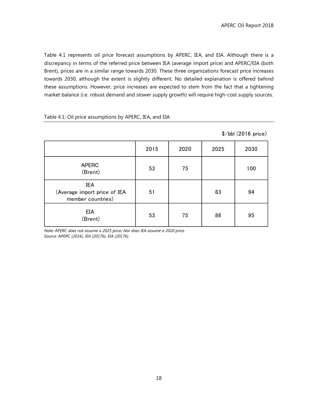Table 4.1 represents oil price forecast assumptions by APERC, IEA, and EIA. Although there is a discrepancy in terms of the referred price between IEA (average import price) and APERC/EIA (both Brent), prices are in a similar range towards 2030. These three organizations forecast price increases towards 2030, although the extent is slightly different. No detailed explanation is offered behind these assumptions. However, price increases are expected to stem from the fact that a tightening market balance (i.e. robust demand and slower supply growth) will require high-cost supply sources.

#### <span id="page-26-0"></span>Table 4.1: Oil price assumptions by APERC, IEA, and EIA

|                                                                 |      |      |      | $\$/bb$ (2016 price) |
|-----------------------------------------------------------------|------|------|------|----------------------|
|                                                                 | 2015 | 2020 | 2025 | 2030                 |
| <b>APERC</b><br>(Brent)                                         | 53   | 75   |      | 100                  |
| <b>IEA</b><br>(Average import price of IEA<br>member countries) | 51   |      | 83   | 94                   |
| EIA<br>(Brent)                                                  | 53   | 75   | 86   | 95                   |

*Note: APERC does not assume a 2025 price. Nor does IEA assume a 2020 price. Source: APERC (2016), IEA (2017b), EIA (2017b).*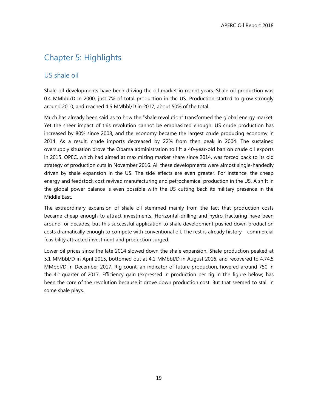# <span id="page-27-0"></span>Chapter 5: Highlights

## <span id="page-27-1"></span>US shale oil

Shale oil developments have been driving the oil market in recent years. Shale oil production was 0.4 MMbbl/D in 2000, just 7% of total production in the US. Production started to grow strongly around 2010, and reached 4.6 MMbbl/D in 2017, about 50% of the total.

Much has already been said as to how the "shale revolution" transformed the global energy market. Yet the sheer impact of this revolution cannot be emphasized enough. US crude production has increased by 80% since 2008, and the economy became the largest crude producing economy in 2014. As a result, crude imports decreased by 22% from then peak in 2004. The sustained oversupply situation drove the Obama administration to lift a 40-year-old ban on crude oil exports in 2015. OPEC, which had aimed at maximizing market share since 2014, was forced back to its old strategy of production cuts in November 2016. All these developments were almost single-handedly driven by shale expansion in the US. The side effects are even greater. For instance, the cheap energy and feedstock cost revived manufacturing and petrochemical production in the US. A shift in the global power balance is even possible with the US cutting back its military presence in the Middle East.

The extraordinary expansion of shale oil stemmed mainly from the fact that production costs became cheap enough to attract investments. Horizontal-drilling and hydro fracturing have been around for decades, but this successful application to shale development pushed down production costs dramatically enough to compete with conventional oil. The rest is already history – commercial feasibility attracted investment and production surged.

Lower oil prices since the late 2014 slowed down the shale expansion. Shale production peaked at 5.1 MMbbl/D in April 2015, bottomed out at 4.1 MMbbl/D in August 2016, and recovered to 4.74.5 MMbbl/D in December 2017. Rig count, an indicator of future production, hovered around 750 in the 4<sup>th</sup> quarter of 2017. Efficiency gain (expressed in production per rig in the figure below) has been the core of the revolution because it drove down production cost. But that seemed to stall in some shale plays.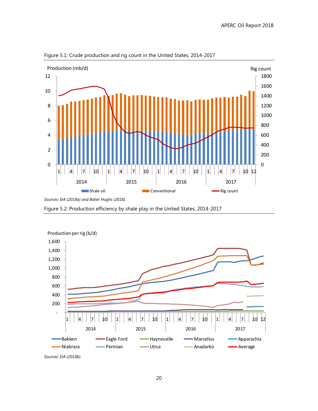

<span id="page-28-0"></span>Figure 5.1: Crude production and rig count in the United States, 2014-2017

<span id="page-28-1"></span>Figure 5.2: Production efficiency by shale play in the United States, 2014-2017



*Sources: EIA (2018b).*

*Sources: EIA (2018a) and Baker Hughs (2018).*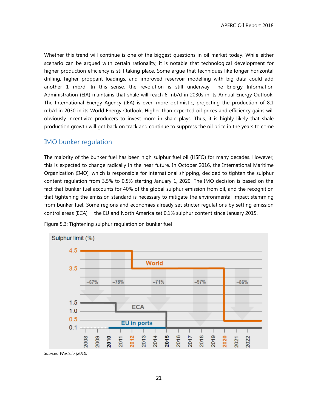Whether this trend will continue is one of the biggest questions in oil market today. While either scenario can be argued with certain rationality, it is notable that technological development for higher production efficiency is still taking place. Some argue that techniques like longer horizontal drilling, higher proppant loadings, and improved reservoir modelling with big data could add another 1 mb/d. In this sense, the revolution is still underway. The Energy Information Administration (EIA) maintains that shale will reach 6 mb/d in 2030s in its Annual Energy Outlook. The International Energy Agency (IEA) is even more optimistic, projecting the production of 8.1 mb/d in 2030 in its World Energy Outlook. Higher than expected oil prices and efficiency gains will obviously incentivize producers to invest more in shale plays. Thus, it is highly likely that shale production growth will get back on track and continue to suppress the oil price in the years to come.

#### <span id="page-29-0"></span>IMO bunker regulation

The majority of the bunker fuel has been high sulphur fuel oil (HSFO) for many decades. However, this is expected to change radically in the near future. In October 2016, the International Maritime Organization (IMO), which is responsible for international shipping, decided to tighten the sulphur content regulation from 3.5% to 0.5% starting January 1, 2020. The IMO decision is based on the fact that bunker fuel accounts for 40% of the global sulphur emission from oil, and the recognition that tightening the emission standard is necessary to mitigate the environmental impact stemming from bunker fuel. Some regions and economies already set stricter regulations by setting emission control areas (ECA)— the EU and North America set 0.1% sulphur content since January 2015.



<span id="page-29-1"></span>Figure 5.3: Tightening sulphur regulation on bunker fuel

*Sources: Wartsila (2010)*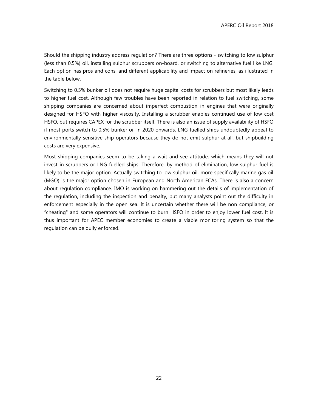Should the shipping industry address regulation? There are three options - switching to low sulphur (less than 0.5%) oil, installing sulphur scrubbers on-board, or switching to alternative fuel like LNG. Each option has pros and cons, and different applicability and impact on refineries, as illustrated in the table below.

Switching to 0.5% bunker oil does not require huge capital costs for scrubbers but most likely leads to higher fuel cost. Although few troubles have been reported in relation to fuel switching, some shipping companies are concerned about imperfect combustion in engines that were originally designed for HSFO with higher viscosity. Installing a scrubber enables continued use of low cost HSFO, but requires CAPEX for the scrubber itself. There is also an issue of supply availability of HSFO if most ports switch to 0.5% bunker oil in 2020 onwards. LNG fuelled ships undoubtedly appeal to environmentally-sensitive ship operators because they do not emit sulphur at all, but shipbuilding costs are very expensive.

Most shipping companies seem to be taking a wait-and-see attitude, which means they will not invest in scrubbers or LNG fuelled ships. Therefore, by method of elimination, low sulphur fuel is likely to be the major option. Actually switching to low sulphur oil, more specifically marine gas oil (MGO) is the major option chosen in European and North American ECAs. There is also a concern about regulation compliance. IMO is working on hammering out the details of implementation of the regulation, including the inspection and penalty, but many analysts point out the difficulty in enforcement especially in the open sea. It is uncertain whether there will be non compliance, or "cheating" and some operators will continue to burn HSFO in order to enjoy lower fuel cost. It is thus important for APEC member economies to create a viable monitoring system so that the regulation can be dully enforced.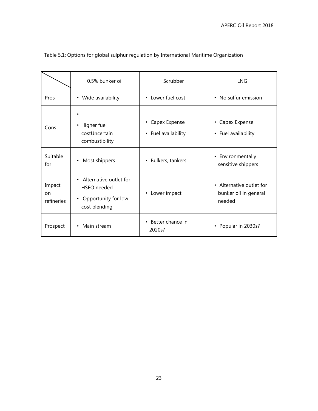|                            | 0.5% bunker oil                                                                             | Scrubber                                          | <b>LNG</b>                                                  |  |
|----------------------------|---------------------------------------------------------------------------------------------|---------------------------------------------------|-------------------------------------------------------------|--|
| Pros                       | • Wide availability                                                                         | • Lower fuel cost                                 | • No sulfur emission                                        |  |
| Cons                       | • Higher fuel<br>costUncertain<br>combustibility                                            | Capex Expense<br>$\bullet$<br>• Fuel availability | • Capex Expense<br>• Fuel availability                      |  |
| Suitable<br>for            | • Most shippers                                                                             | Bulkers, tankers<br>$\bullet$                     | • Environmentally<br>sensitive shippers                     |  |
| Impact<br>on<br>refineries | Alternative outlet for<br>HSFO needed<br>Opportunity for low-<br>$\bullet$<br>cost blending | Lower impact<br>$\bullet$                         | • Alternative outlet for<br>bunker oil in general<br>needed |  |
| Prospect                   | Main stream<br>$\bullet$                                                                    | Better chance in<br>$\bullet$<br>2020s?           | Popular in 2030s?<br>$\bullet$                              |  |

# <span id="page-31-0"></span>Table 5.1: Options for global sulphur regulation by International Maritime Organization